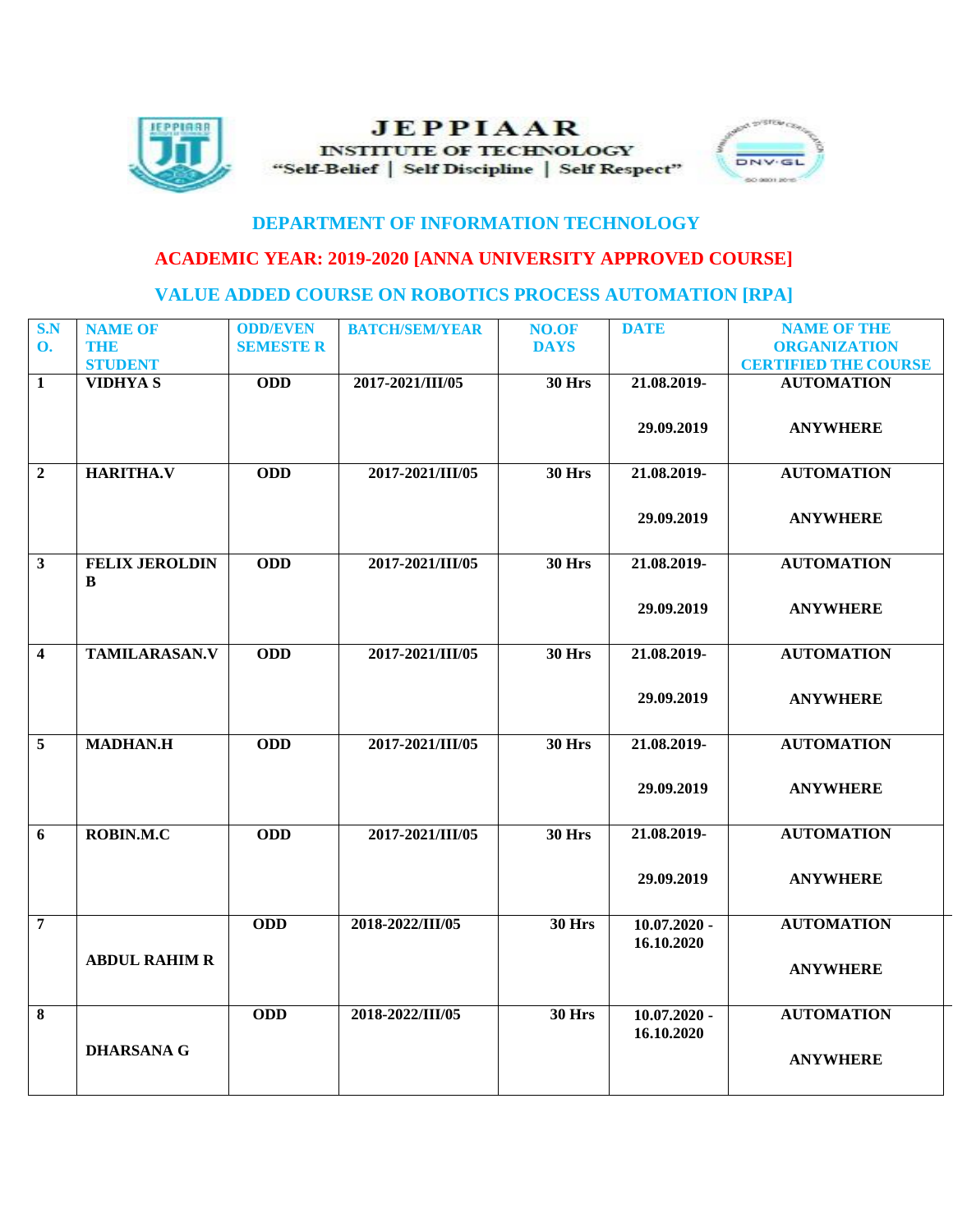

## **JEPPIAAR INSTITUTE OF TECHNOLOGY** "Self-Belief | Self Discipline | Self Respect"



## **DEPARTMENT OF INFORMATION TECHNOLOGY**

## **ACADEMIC YEAR: 2019-2020 [ANNA UNIVERSITY APPROVED COURSE]**

## **VALUE ADDED COURSE ON ROBOTICS PROCESS AUTOMATION [RPA]**

| S.N                     | <b>NAME OF</b>        | <b>ODD/EVEN</b>  | <b>BATCH/SEM/YEAR</b> | NO.OF         | <b>DATE</b>    | <b>NAME OF THE</b>          |
|-------------------------|-----------------------|------------------|-----------------------|---------------|----------------|-----------------------------|
| $\mathbf{O}$ .          | THE                   | <b>SEMESTE R</b> |                       | <b>DAYS</b>   |                | <b>ORGANIZATION</b>         |
|                         | <b>STUDENT</b>        |                  |                       |               |                | <b>CERTIFIED THE COURSE</b> |
| $\mathbf{1}$            | <b>VIDHYAS</b>        | <b>ODD</b>       | 2017-2021/III/05      | <b>30 Hrs</b> | 21.08.2019-    | <b>AUTOMATION</b>           |
|                         |                       |                  |                       |               |                |                             |
|                         |                       |                  |                       |               | 29.09.2019     | <b>ANYWHERE</b>             |
|                         |                       |                  |                       |               |                |                             |
|                         |                       |                  |                       |               |                |                             |
| $\overline{2}$          | <b>HARITHA.V</b>      | <b>ODD</b>       | 2017-2021/III/05      | <b>30 Hrs</b> | 21.08.2019-    | <b>AUTOMATION</b>           |
|                         |                       |                  |                       |               |                |                             |
|                         |                       |                  |                       |               | 29.09.2019     | <b>ANYWHERE</b>             |
|                         |                       |                  |                       |               |                |                             |
| $\overline{\mathbf{3}}$ | <b>FELIX JEROLDIN</b> | <b>ODD</b>       | 2017-2021/III/05      | <b>30 Hrs</b> | 21.08.2019-    | <b>AUTOMATION</b>           |
|                         | $\, {\bf B}$          |                  |                       |               |                |                             |
|                         |                       |                  |                       |               | 29.09.2019     | <b>ANYWHERE</b>             |
|                         |                       |                  |                       |               |                |                             |
|                         |                       |                  |                       |               |                |                             |
| $\overline{\mathbf{4}}$ | <b>TAMILARASAN.V</b>  | <b>ODD</b>       | 2017-2021/III/05      | <b>30 Hrs</b> | 21.08.2019-    | <b>AUTOMATION</b>           |
|                         |                       |                  |                       |               |                |                             |
|                         |                       |                  |                       |               | 29.09.2019     | <b>ANYWHERE</b>             |
|                         |                       |                  |                       |               |                |                             |
| 5                       | <b>MADHAN.H</b>       | <b>ODD</b>       | 2017-2021/III/05      | <b>30 Hrs</b> | 21.08.2019-    | <b>AUTOMATION</b>           |
|                         |                       |                  |                       |               |                |                             |
|                         |                       |                  |                       |               |                |                             |
|                         |                       |                  |                       |               | 29.09.2019     | <b>ANYWHERE</b>             |
|                         |                       |                  |                       |               |                |                             |
| 6                       | ROBIN.M.C             | <b>ODD</b>       | 2017-2021/III/05      | <b>30 Hrs</b> | 21.08.2019-    | <b>AUTOMATION</b>           |
|                         |                       |                  |                       |               |                |                             |
|                         |                       |                  |                       |               | 29.09.2019     | <b>ANYWHERE</b>             |
|                         |                       |                  |                       |               |                |                             |
| $\overline{7}$          |                       | <b>ODD</b>       | 2018-2022/III/05      | <b>30 Hrs</b> | $10.07.2020 -$ | <b>AUTOMATION</b>           |
|                         |                       |                  |                       |               | 16.10.2020     |                             |
|                         | <b>ABDUL RAHIM R</b>  |                  |                       |               |                |                             |
|                         |                       |                  |                       |               |                | <b>ANYWHERE</b>             |
|                         |                       |                  |                       |               |                |                             |
| 8                       |                       | <b>ODD</b>       | 2018-2022/III/05      | <b>30 Hrs</b> | $10.07.2020 -$ | <b>AUTOMATION</b>           |
|                         |                       |                  |                       |               | 16.10.2020     |                             |
|                         | <b>DHARSANA G</b>     |                  |                       |               |                | <b>ANYWHERE</b>             |
|                         |                       |                  |                       |               |                |                             |
|                         |                       |                  |                       |               |                |                             |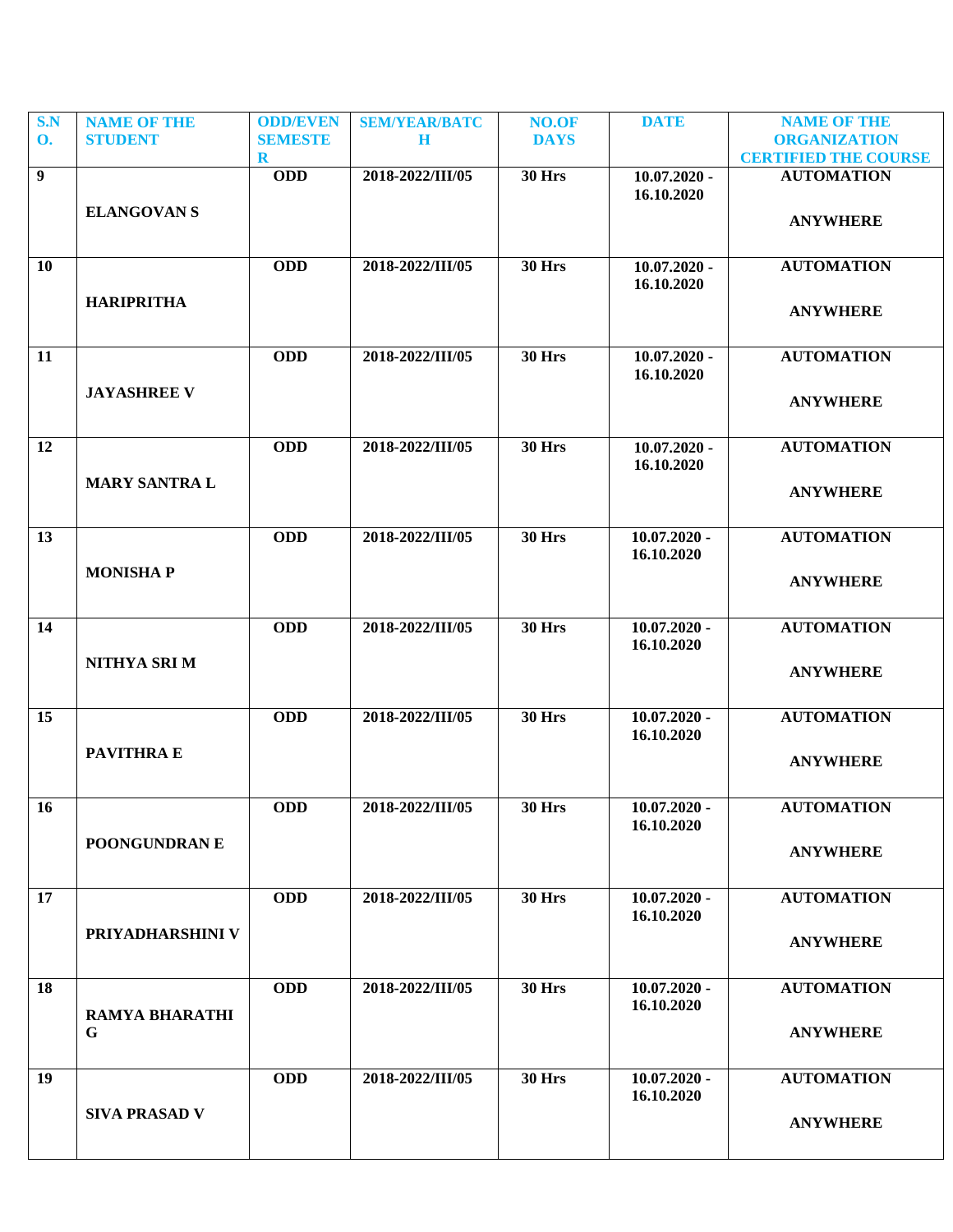| S.N<br><b>O.</b> | <b>NAME OF THE</b><br><b>STUDENT</b> | <b>ODD/EVEN</b><br><b>SEMESTE</b> | <b>SEM/YEAR/BATC</b><br>$\mathbf H$ | NO.OF<br><b>DAYS</b> | <b>DATE</b>                  | <b>NAME OF THE</b><br><b>ORGANIZATION</b> |
|------------------|--------------------------------------|-----------------------------------|-------------------------------------|----------------------|------------------------------|-------------------------------------------|
|                  |                                      | $\bf R$                           |                                     |                      |                              | <b>CERTIFIED THE COURSE</b>               |
| $\overline{9}$   |                                      | <b>ODD</b>                        | 2018-2022/III/05                    | <b>30 Hrs</b>        | $10.07.2020 -$               | <b>AUTOMATION</b>                         |
|                  |                                      |                                   |                                     |                      | 16.10.2020                   |                                           |
|                  | <b>ELANGOVAN S</b>                   |                                   |                                     |                      |                              | <b>ANYWHERE</b>                           |
|                  |                                      |                                   |                                     |                      |                              |                                           |
| 10               |                                      | <b>ODD</b>                        | 2018-2022/III/05                    | <b>30 Hrs</b>        | $10.07.2020 -$               | <b>AUTOMATION</b>                         |
|                  |                                      |                                   |                                     |                      | 16.10.2020                   |                                           |
|                  | <b>HARIPRITHA</b>                    |                                   |                                     |                      |                              | <b>ANYWHERE</b>                           |
|                  |                                      |                                   |                                     |                      |                              |                                           |
| 11               |                                      | <b>ODD</b>                        | 2018-2022/III/05                    | <b>30 Hrs</b>        | $10.07.2020 -$               | <b>AUTOMATION</b>                         |
|                  |                                      |                                   |                                     |                      | 16.10.2020                   |                                           |
|                  | <b>JAYASHREE V</b>                   |                                   |                                     |                      |                              | <b>ANYWHERE</b>                           |
|                  |                                      |                                   |                                     |                      |                              |                                           |
| 12               |                                      | <b>ODD</b>                        | 2018-2022/III/05                    | <b>30 Hrs</b>        | $10.07.2020 -$               | <b>AUTOMATION</b>                         |
|                  |                                      |                                   |                                     |                      | 16.10.2020                   |                                           |
|                  | <b>MARY SANTRA L</b>                 |                                   |                                     |                      |                              | <b>ANYWHERE</b>                           |
|                  |                                      |                                   |                                     |                      |                              |                                           |
| 13               |                                      | <b>ODD</b>                        | 2018-2022/III/05                    | <b>30 Hrs</b>        | $10.07.2020 -$               | <b>AUTOMATION</b>                         |
|                  | <b>MONISHAP</b>                      |                                   |                                     |                      | 16.10.2020                   |                                           |
|                  |                                      |                                   |                                     |                      |                              | <b>ANYWHERE</b>                           |
|                  |                                      |                                   |                                     |                      |                              |                                           |
| 14               |                                      | <b>ODD</b>                        | 2018-2022/III/05                    | <b>30 Hrs</b>        | $10.07.2020 -$               | <b>AUTOMATION</b>                         |
|                  | NITHYA SRI M                         |                                   |                                     |                      | 16.10.2020                   |                                           |
|                  |                                      |                                   |                                     |                      |                              | <b>ANYWHERE</b>                           |
|                  |                                      |                                   |                                     |                      |                              |                                           |
| 15               |                                      | <b>ODD</b>                        | 2018-2022/III/05                    | <b>30 Hrs</b>        | $10.07.2020 -$<br>16.10.2020 | <b>AUTOMATION</b>                         |
|                  | PAVITHRA E                           |                                   |                                     |                      |                              |                                           |
|                  |                                      |                                   |                                     |                      |                              | <b>ANYWHERE</b>                           |
|                  |                                      |                                   |                                     |                      |                              |                                           |
| <b>16</b>        |                                      | <b>ODD</b>                        | 2018-2022/III/05                    | <b>30 Hrs</b>        | $10.07.2020 -$<br>16.10.2020 | <b>AUTOMATION</b>                         |
|                  | POONGUNDRAN E                        |                                   |                                     |                      |                              |                                           |
|                  |                                      |                                   |                                     |                      |                              | <b>ANYWHERE</b>                           |
| 17               |                                      | <b>ODD</b>                        | 2018-2022/III/05                    | <b>30 Hrs</b>        | $10.07.2020 -$               | <b>AUTOMATION</b>                         |
|                  |                                      |                                   |                                     |                      | 16.10.2020                   |                                           |
|                  | PRIYADHARSHINI V                     |                                   |                                     |                      |                              | <b>ANYWHERE</b>                           |
|                  |                                      |                                   |                                     |                      |                              |                                           |
| 18               |                                      | <b>ODD</b>                        | 2018-2022/III/05                    | <b>30 Hrs</b>        | $10.07.2020 -$               | <b>AUTOMATION</b>                         |
|                  |                                      |                                   |                                     |                      | 16.10.2020                   |                                           |
|                  | RAMYA BHARATHI<br>G                  |                                   |                                     |                      |                              | <b>ANYWHERE</b>                           |
|                  |                                      |                                   |                                     |                      |                              |                                           |
| 19               |                                      | <b>ODD</b>                        | 2018-2022/III/05                    | <b>30 Hrs</b>        | $10.07.2020 -$               | <b>AUTOMATION</b>                         |
|                  |                                      |                                   |                                     |                      | 16.10.2020                   |                                           |
|                  | <b>SIVA PRASAD V</b>                 |                                   |                                     |                      |                              | <b>ANYWHERE</b>                           |
|                  |                                      |                                   |                                     |                      |                              |                                           |